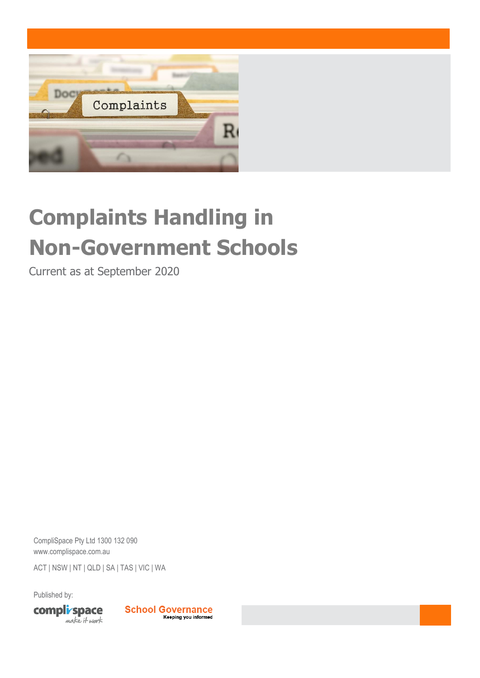

# **Complaints Handling in Non-Government Schools**

Current as at September 2020

CompliSpace Pty Ltd 1300 132 090 [www.complispace.com.au](http://www.complispace.com.au/)  ACT | NSW | NT | QLD | SA | TAS | VIC | WA

Published by:



**School Governance** Keeping you informed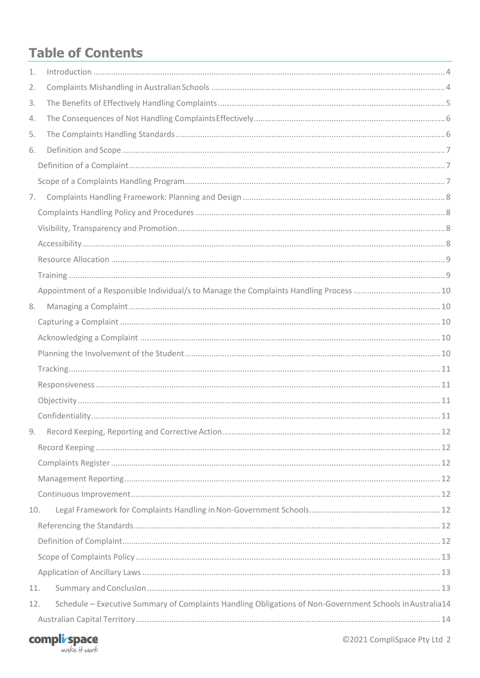# **Table of Contents**

| 1.  |                                                                                                          |  |
|-----|----------------------------------------------------------------------------------------------------------|--|
| 2.  |                                                                                                          |  |
| 3.  |                                                                                                          |  |
| 4.  |                                                                                                          |  |
| 5.  |                                                                                                          |  |
| 6.  |                                                                                                          |  |
|     |                                                                                                          |  |
|     |                                                                                                          |  |
| 7.  |                                                                                                          |  |
|     |                                                                                                          |  |
|     |                                                                                                          |  |
|     |                                                                                                          |  |
|     |                                                                                                          |  |
|     |                                                                                                          |  |
|     | Appointment of a Responsible Individual/s to Manage the Complaints Handling Process  10                  |  |
| 8.  |                                                                                                          |  |
|     |                                                                                                          |  |
|     |                                                                                                          |  |
|     |                                                                                                          |  |
|     |                                                                                                          |  |
|     |                                                                                                          |  |
|     |                                                                                                          |  |
|     |                                                                                                          |  |
| 9.  |                                                                                                          |  |
|     |                                                                                                          |  |
|     |                                                                                                          |  |
|     |                                                                                                          |  |
|     |                                                                                                          |  |
| 10. |                                                                                                          |  |
|     |                                                                                                          |  |
|     |                                                                                                          |  |
|     |                                                                                                          |  |
|     |                                                                                                          |  |
| 11. |                                                                                                          |  |
| 12. | Schedule - Executive Summary of Complaints Handling Obligations of Non-Government Schools in Australia14 |  |
|     |                                                                                                          |  |

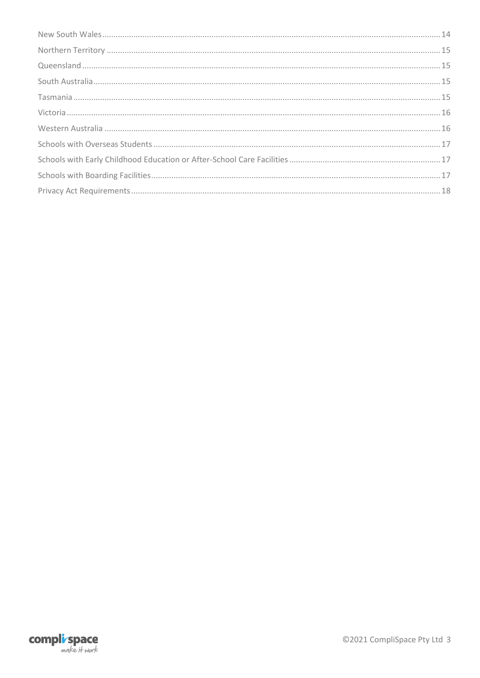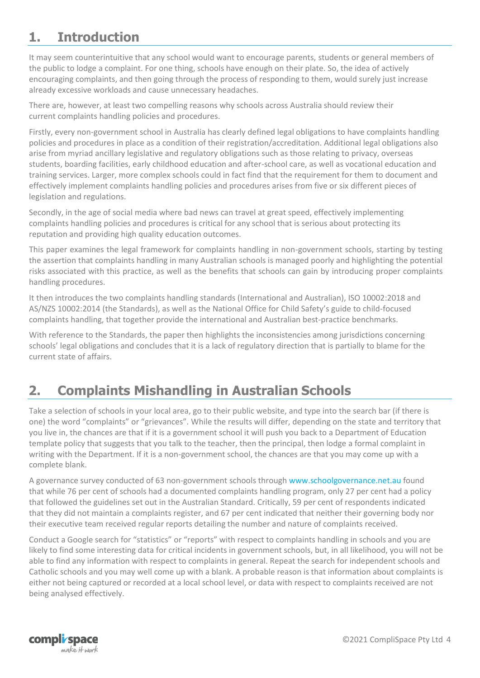# <span id="page-3-0"></span>**1. Introduction**

It may seem counterintuitive that any school would want to encourage parents, students or general members of the public to lodge a complaint. For one thing, schools have enough on their plate. So, the idea of actively encouraging complaints, and then going through the process of responding to them, would surely just increase already excessive workloads and cause unnecessary headaches.

There are, however, at least two compelling reasons why schools across Australia should review their current complaints handling policies and procedures.

Firstly, every non-government school in Australia has clearly defined legal obligations to have complaints handling policies and procedures in place as a condition of their registration/accreditation. Additional legal obligations also arise from myriad ancillary legislative and regulatory obligations such as those relating to privacy, overseas students, boarding facilities, early childhood education and after-school care, as well as vocational education and training services. Larger, more complex schools could in fact find that the requirement for them to document and effectively implement complaints handling policies and procedures arises from five or six different pieces of legislation and regulations.

Secondly, in the age of social media where bad news can travel at great speed, effectively implementing complaints handling policies and procedures is critical for any school that is serious about protecting its reputation and providing high quality education outcomes.

This paper examines the legal framework for complaints handling in non-government schools, starting by testing the assertion that complaints handling in many Australian schools is managed poorly and highlighting the potential risks associated with this practice, as well as the benefits that schools can gain by introducing proper complaints handling procedures.

It then introduces the two complaints handling standards (International and Australian), ISO 10002:2018 and AS/NZS 10002:2014 (the Standards), as well as the National Office for Child Safety's guide to child-focused complaints handling, that together provide the international and Australian best-practice benchmarks.

With reference to the Standards, the paper then highlights the inconsistencies among jurisdictions concerning schools' legal obligations and concludes that it is a lack of regulatory direction that is partially to blame for the current state of affairs.

# <span id="page-3-1"></span>**2. Complaints Mishandling in Australian Schools**

Take a selection of schools in your local area, go to their public website, and type into the search bar (if there is one) the word "complaints" or "grievances". While the results will differ, depending on the state and territory that you live in, the chances are that if it is a government school it will push you back to a Department of Education template policy that suggests that you talk to the teacher, then the principal, then lodge a formal complaint in writing with the Department. If it is a non-government school, the chances are that you may come up with a complete blank.

A governance survey conducted of 63 non-government schools throug[h www.schoolgovernance.net.au](http://www.schoolgovernance.net.au/) found that while 76 per cent of schools had a documented complaints handling program, only 27 per cent had a policy that followed the guidelines set out in the Australian Standard. Critically, 59 per cent of respondents indicated that they did not maintain a complaints register, and 67 per cent indicated that neither their governing body nor their executive team received regular reports detailing the number and nature of complaints received.

Conduct a Google search for "statistics" or "reports" with respect to complaints handling in schools and you are likely to find some interesting data for critical incidents in government schools, but, in all likelihood, you will not be able to find any information with respect to complaints in general. Repeat the search for independent schools and Catholic schools and you may well come up with a blank. A probable reason is that information about complaints is either not being captured or recorded at a local school level, or data with respect to complaints received are not being analysed effectively.

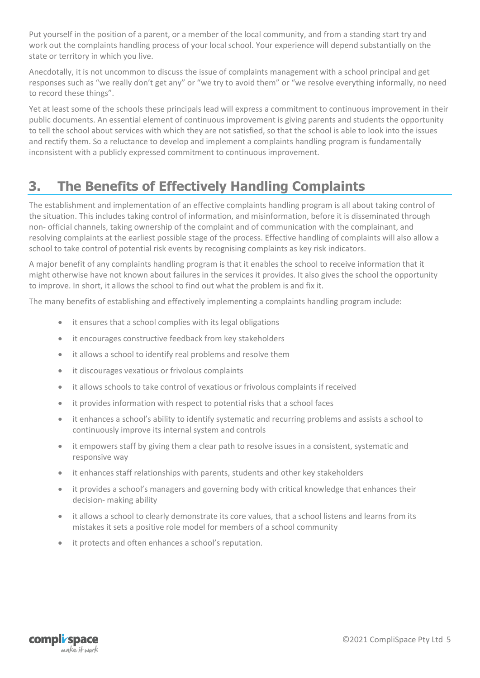Put yourself in the position of a parent, or a member of the local community, and from a standing start try and work out the complaints handling process of your local school. Your experience will depend substantially on the state or territory in which you live.

Anecdotally, it is not uncommon to discuss the issue of complaints management with a school principal and get responses such as "we really don't get any" or "we try to avoid them" or "we resolve everything informally, no need to record these things".

Yet at least some of the schools these principals lead will express a commitment to continuous improvement in their public documents. An essential element of continuous improvement is giving parents and students the opportunity to tell the school about services with which they are not satisfied, so that the school is able to look into the issues and rectify them. So a reluctance to develop and implement a complaints handling program is fundamentally inconsistent with a publicly expressed commitment to continuous improvement.

# <span id="page-4-0"></span>**3. The Benefits of Effectively Handling Complaints**

The establishment and implementation of an effective complaints handling program is all about taking control of the situation. This includes taking control of information, and misinformation, before it is disseminated through non- official channels, taking ownership of the complaint and of communication with the complainant, and resolving complaints at the earliest possible stage of the process. Effective handling of complaints will also allow a school to take control of potential risk events by recognising complaints as key risk indicators.

A major benefit of any complaints handling program is that it enables the school to receive information that it might otherwise have not known about failures in the services it provides. It also gives the school the opportunity to improve. In short, it allows the school to find out what the problem is and fix it.

The many benefits of establishing and effectively implementing a complaints handling program include:

- it ensures that a school complies with its legal obligations
- it encourages constructive feedback from key stakeholders
- it allows a school to identify real problems and resolve them
- it discourages vexatious or frivolous complaints
- it allows schools to take control of vexatious or frivolous complaints if received
- it provides information with respect to potential risks that a school faces
- it enhances a school's ability to identify systematic and recurring problems and assists a school to continuously improve its internal system and controls
- it empowers staff by giving them a clear path to resolve issues in a consistent, systematic and responsive way
- it enhances staff relationships with parents, students and other key stakeholders
- it provides a school's managers and governing body with critical knowledge that enhances their decision- making ability
- it allows a school to clearly demonstrate its core values, that a school listens and learns from its mistakes it sets a positive role model for members of a school community
- it protects and often enhances a school's reputation.

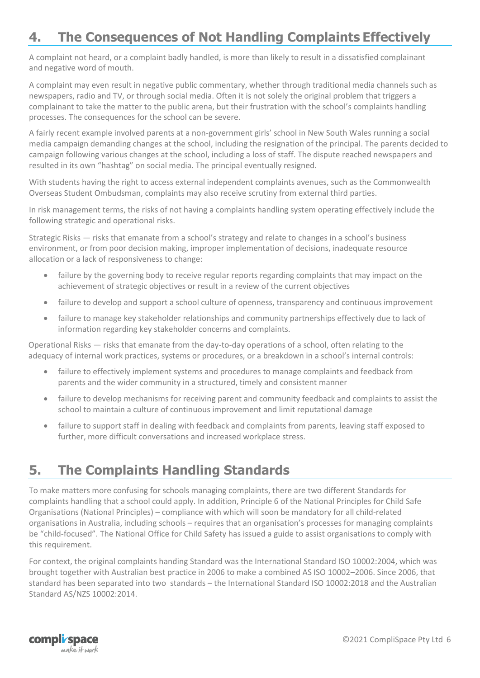# <span id="page-5-0"></span>**4. The Consequences of Not Handling Complaints Effectively**

A complaint not heard, or a complaint badly handled, is more than likely to result in a dissatisfied complainant and negative word of mouth.

A complaint may even result in negative public commentary, whether through traditional media channels such as newspapers, radio and TV, or through social media. Often it is not solely the original problem that triggers a complainant to take the matter to the public arena, but their frustration with the school's complaints handling processes. The consequences for the school can be severe.

A fairly recent example involved parents at a non-government girls' school in New South Wales running a social media campaign demanding changes at the school, including the resignation of the principal. The parents decided to campaign following various changes at the school, including a loss of staff. The dispute reached newspapers and resulted in its own "hashtag" on social media. The principal eventually resigned.

With students having the right to access external independent complaints avenues, such as the Commonwealth Overseas Student Ombudsman, complaints may also receive scrutiny from external third parties.

In risk management terms, the risks of not having a complaints handling system operating effectively include the following strategic and operational risks.

Strategic Risks — risks that emanate from a school's strategy and relate to changes in a school's business environment, or from poor decision making, improper implementation of decisions, inadequate resource allocation or a lack of responsiveness to change:

- failure by the governing body to receive regular reports regarding complaints that may impact on the achievement of strategic objectives or result in a review of the current objectives
- failure to develop and support a school culture of openness, transparency and continuous improvement
- failure to manage key stakeholder relationships and community partnerships effectively due to lack of information regarding key stakeholder concerns and complaints.

Operational Risks — risks that emanate from the day-to-day operations of a school, often relating to the adequacy of internal work practices, systems or procedures, or a breakdown in a school's internal controls:

- failure to effectively implement systems and procedures to manage complaints and feedback from parents and the wider community in a structured, timely and consistent manner
- failure to develop mechanisms for receiving parent and community feedback and complaints to assist the school to maintain a culture of continuous improvement and limit reputational damage
- failure to support staff in dealing with feedback and complaints from parents, leaving staff exposed to further, more difficult conversations and increased workplace stress.

## <span id="page-5-1"></span>**5. The Complaints Handling Standards**

To make matters more confusing for schools managing complaints, there are two different Standards for complaints handling that a school could apply. In addition, Principle 6 of the National Principles for Child Safe Organisations (National Principles) – compliance with which will soon be mandatory for all child-related organisations in Australia, including schools – requires that an organisation's processes for managing complaints be "child-focused". The National Office for Child Safety has issued a guide to assist organisations to comply with this requirement.

For context, the original complaints handing Standard was the International Standard ISO 10002:2004, which was brought together with Australian best practice in 2006 to make a combined AS ISO 10002–2006. Since 2006, that standard has been separated into two standards – the International Standard ISO 10002:2018 and the Australian Standard AS/NZS 10002:2014.

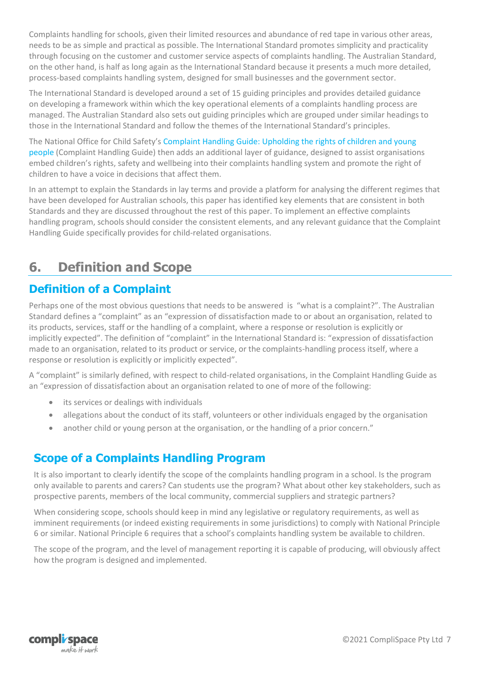Complaints handling for schools, given their limited resources and abundance of red tape in various other areas, needs to be as simple and practical as possible. The International Standard promotes simplicity and practicality through focusing on the customer and customer service aspects of complaints handling. The Australian Standard, on the other hand, is half as long again as the International Standard because it presents a much more detailed, process-based complaints handling system, designed for small businesses and the government sector.

The International Standard is developed around a set of 15 guiding principles and provides detailed guidance on developing a framework within which the key operational elements of a complaints handling process are managed. The Australian Standard also sets out guiding principles which are grouped under similar headings to those in the International Standard and follow the themes of the International Standard's principles.

The National Office for Child Safety's [Complaint Handling Guide: Upholding the rights of children and young](https://www.pmc.gov.au/sites/default/files/publications/nocs-complaint-handling-guide.pdf)  [people](https://www.pmc.gov.au/sites/default/files/publications/nocs-complaint-handling-guide.pdf) (Complaint Handling Guide) then adds an additional layer of guidance, designed to assist organisations embed children's rights, safety and wellbeing into their complaints handling system and promote the right of children to have a voice in decisions that affect them.

In an attempt to explain the Standards in lay terms and provide a platform for analysing the different regimes that have been developed for Australian schools, this paper has identified key elements that are consistent in both Standards and they are discussed throughout the rest of this paper. To implement an effective complaints handling program, schools should consider the consistent elements, and any relevant guidance that the Complaint Handling Guide specifically provides for child-related organisations.

# <span id="page-6-0"></span>**6. Definition and Scope**

## <span id="page-6-1"></span>**Definition of a Complaint**

Perhaps one of the most obvious questions that needs to be answered is "what is a complaint?". The Australian Standard defines a "complaint" as an "expression of dissatisfaction made to or about an organisation, related to its products, services, staff or the handling of a complaint, where a response or resolution is explicitly or implicitly expected". The definition of "complaint" in the International Standard is: "expression of dissatisfaction made to an organisation, related to its product or service, or the complaints-handling process itself, where a response or resolution is explicitly or implicitly expected".

A "complaint" is similarly defined, with respect to child-related organisations, in the Complaint Handling Guide as an "expression of dissatisfaction about an organisation related to one of more of the following:

- its services or dealings with individuals
- allegations about the conduct of its staff, volunteers or other individuals engaged by the organisation
- another child or young person at the organisation, or the handling of a prior concern."

#### <span id="page-6-2"></span>**Scope of a Complaints Handling Program**

It is also important to clearly identify the scope of the complaints handling program in a school. Is the program only available to parents and carers? Can students use the program? What about other key stakeholders, such as prospective parents, members of the local community, commercial suppliers and strategic partners?

When considering scope, schools should keep in mind any legislative or regulatory requirements, as well as imminent requirements (or indeed existing requirements in some jurisdictions) to comply with National Principle 6 or similar. National Principle 6 requires that a school's complaints handling system be available to children.

The scope of the program, and the level of management reporting it is capable of producing, will obviously affect how the program is designed and implemented.

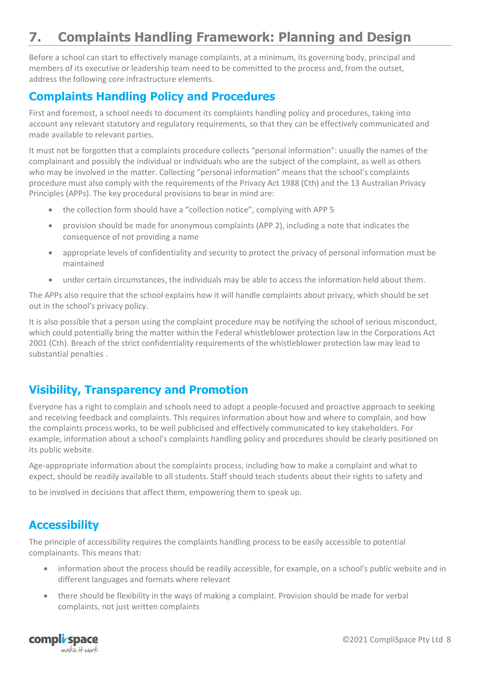# <span id="page-7-0"></span>**7. Complaints Handling Framework: Planning and Design**

Before a school can start to effectively manage complaints, at a minimum, its governing body, principal and members of its executive or leadership team need to be committed to the process and, from the outset, address the following core infrastructure elements.

#### <span id="page-7-1"></span>**Complaints Handling Policy and Procedures**

First and foremost, a school needs to document its complaints handling policy and procedures, taking into account any relevant statutory and regulatory requirements, so that they can be effectively communicated and made available to relevant parties.

It must not be forgotten that a complaints procedure collects "personal information": usually the names of the complainant and possibly the individual or individuals who are the subject of the complaint, as well as others who may be involved in the matter. Collecting "personal information" means that the school's complaints procedure must also comply with the requirements of the Privacy Act 1988 (Cth) and the 13 Australian Privacy Principles (APPs). The key procedural provisions to bear in mind are:

- the collection form should have a "collection notice", complying with APP 5
- provision should be made for anonymous complaints (APP 2), including a note that indicates the consequence of not providing a name
- appropriate levels of confidentiality and security to protect the privacy of personal information must be maintained
- under certain circumstances, the individuals may be able to access the information held about them.

The APPs also require that the school explains how it will handle complaints about privacy, which should be set out in the school's privacy policy.

It is also possible that a person using the complaint procedure may be notifying the school of serious misconduct, which could potentially bring the matter within the Federal whistleblower protection law in the Corporations Act 2001 (Cth). Breach of the strict confidentiality requirements of the whistleblower protection law may lead to substantial penalties .

#### <span id="page-7-2"></span>**Visibility, Transparency and Promotion**

Everyone has a right to complain and schools need to adopt a people-focused and proactive approach to seeking and receiving feedback and complaints. This requires information about how and where to complain, and how the complaints process works, to be well publicised and effectively communicated to key stakeholders. For example, information about a school's complaints handling policy and procedures should be clearly positioned on its public website.

Age-appropriate information about the complaints process, including how to make a complaint and what to expect, should be readily available to all students. Staff should teach students about their rights to safety and

to be involved in decisions that affect them, empowering them to speak up.

#### <span id="page-7-3"></span>**Accessibility**

The principle of accessibility requires the complaints handling process to be easily accessible to potential complainants. This means that:

- information about the process should be readily accessible, for example, on a school's public website and in different languages and formats where relevant
- there should be flexibility in the ways of making a complaint. Provision should be made for verbal complaints, not just written complaints

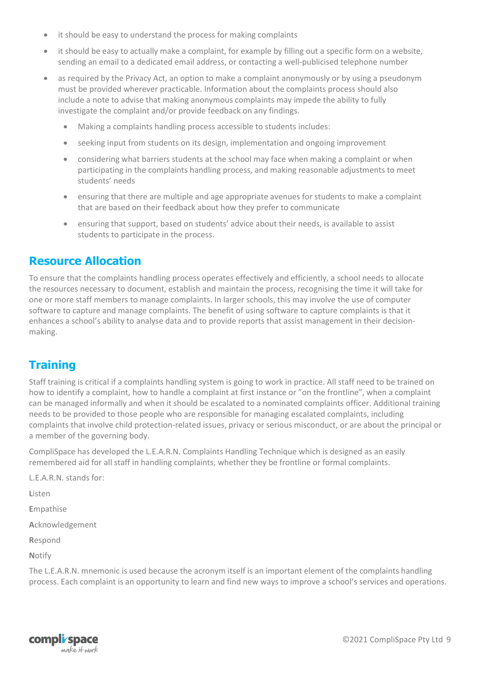- it should be easy to understand the process for making complaints
- it should be easy to actually make a complaint, for example by filling out a specific form on a website, sending an email to a dedicated email address, or contacting a well-publicised telephone number
- as required by the Privacy Act, an option to make a complaint anonymously or by using a pseudonym must be provided wherever practicable. Information about the complaints process should also include a note to advise that making anonymous complaints may impede the ability to fully investigate the complaint and/or provide feedback on any findings.
	- Making a complaints handling process accessible to students includes:
	- seeking input from students on its design, implementation and ongoing improvement
	- considering what barriers students at the school may face when making a complaint or when participating in the complaints handling process, and making reasonable adjustments to meet students' needs
	- ensuring that there are multiple and age appropriate avenues for students to make a complaint that are based on their feedback about how they prefer to communicate
	- ensuring that support, based on students' advice about their needs, is available to assist students to participate in the process.

#### <span id="page-8-0"></span>**Resource Allocation**

To ensure that the complaints handling process operates effectively and efficiently, a school needs to allocate the resources necessary to document, establish and maintain the process, recognising the time it will take for one or more staff members to manage complaints. In larger schools, this may involve the use of computer software to capture and manage complaints. The benefit of using software to capture complaints is that it enhances a school's ability to analyse data and to provide reports that assist management in their decisionmaking.

#### <span id="page-8-1"></span>**Training**

Staff training is critical if a complaints handling system is going to work in practice. All staff need to be trained on how to identify a complaint, how to handle a complaint at first instance or "on the frontline", when a complaint can be managed informally and when it should be escalated to a nominated complaints officer. Additional training needs to be provided to those people who are responsible for managing escalated complaints, including complaints that involve child protection-related issues, privacy or serious misconduct, or are about the principal or a member of the governing body.

CompliSpace has developed the L.E.A.R.N. Complaints Handling Technique which is designed as an easily remembered aid for all staff in handling complaints, whether they be frontline or formal complaints.

L.E.A.R.N. stands for:

**L**isten

**E**mpathise

**A**cknowledgement

**R**espond

**N**otify

The L.E.A.R.N. mnemonic is used because the acronym itself is an important element of the complaints handling process. Each complaint is an opportunity to learn and find new ways to improve a school's services and operations.

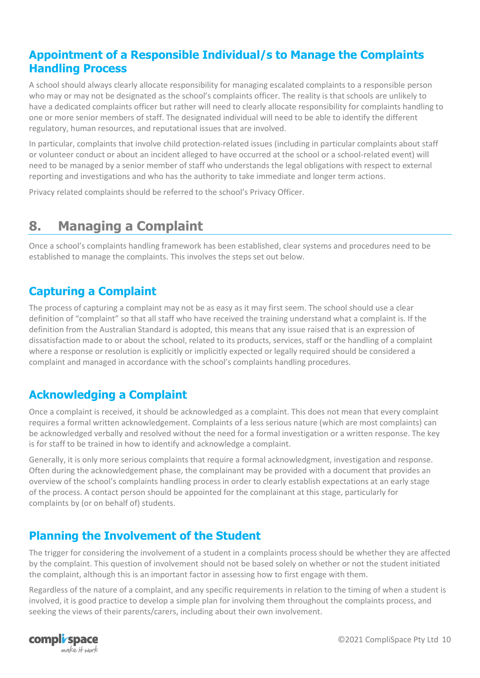#### <span id="page-9-0"></span>**Appointment of a Responsible Individual/s to Manage the Complaints Handling Process**

A school should always clearly allocate responsibility for managing escalated complaints to a responsible person who may or may not be designated as the school's complaints officer. The reality is that schools are unlikely to have a dedicated complaints officer but rather will need to clearly allocate responsibility for complaints handling to one or more senior members of staff. The designated individual will need to be able to identify the different regulatory, human resources, and reputational issues that are involved.

In particular, complaints that involve child protection-related issues (including in particular complaints about staff or volunteer conduct or about an incident alleged to have occurred at the school or a school-related event) will need to be managed by a senior member of staff who understands the legal obligations with respect to external reporting and investigations and who has the authority to take immediate and longer term actions.

Privacy related complaints should be referred to the school's Privacy Officer.

## <span id="page-9-1"></span>**8. Managing a Complaint**

Once a school's complaints handling framework has been established, clear systems and procedures need to be established to manage the complaints. This involves the steps set out below.

#### <span id="page-9-2"></span>**Capturing a Complaint**

The process of capturing a complaint may not be as easy as it may first seem. The school should use a clear definition of "complaint" so that all staff who have received the training understand what a complaint is. If the definition from the Australian Standard is adopted, this means that any issue raised that is an expression of dissatisfaction made to or about the school, related to its products, services, staff or the handling of a complaint where a response or resolution is explicitly or implicitly expected or legally required should be considered a complaint and managed in accordance with the school's complaints handling procedures.

#### <span id="page-9-3"></span>**Acknowledging a Complaint**

Once a complaint is received, it should be acknowledged as a complaint. This does not mean that every complaint requires a formal written acknowledgement. Complaints of a less serious nature (which are most complaints) can be acknowledged verbally and resolved without the need for a formal investigation or a written response. The key is for staff to be trained in how to identify and acknowledge a complaint.

Generally, it is only more serious complaints that require a formal acknowledgment, investigation and response. Often during the acknowledgement phase, the complainant may be provided with a document that provides an overview of the school's complaints handling process in order to clearly establish expectations at an early stage of the process. A contact person should be appointed for the complainant at this stage, particularly for complaints by (or on behalf of) students.

#### <span id="page-9-4"></span>**Planning the Involvement of the Student**

The trigger for considering the involvement of a student in a complaints process should be whether they are affected by the complaint. This question of involvement should not be based solely on whether or not the student initiated the complaint, although this is an important factor in assessing how to first engage with them.

Regardless of the nature of a complaint, and any specific requirements in relation to the timing of when a student is involved, it is good practice to develop a simple plan for involving them throughout the complaints process, and seeking the views of their parents/carers, including about their own involvement.

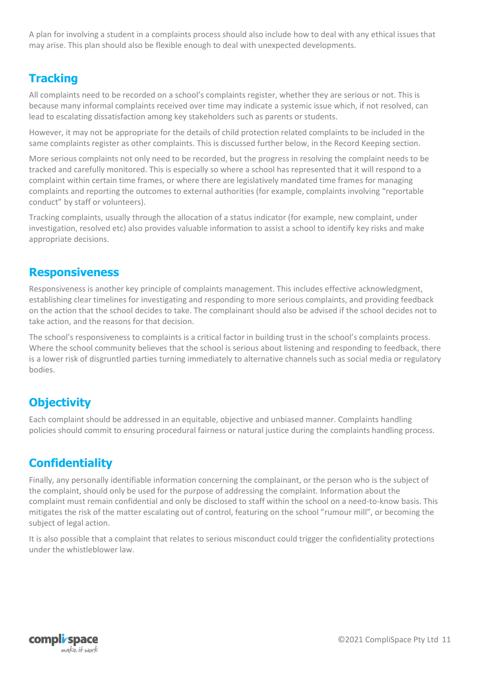A plan for involving a student in a complaints process should also include how to deal with any ethical issues that may arise. This plan should also be flexible enough to deal with unexpected developments.

#### <span id="page-10-0"></span>**Tracking**

All complaints need to be recorded on a school's complaints register, whether they are serious or not. This is because many informal complaints received over time may indicate a systemic issue which, if not resolved, can lead to escalating dissatisfaction among key stakeholders such as parents or students.

However, it may not be appropriate for the details of child protection related complaints to be included in the same complaints register as other complaints. This is discussed further below, in the Record Keeping section.

More serious complaints not only need to be recorded, but the progress in resolving the complaint needs to be tracked and carefully monitored. This is especially so where a school has represented that it will respond to a complaint within certain time frames, or where there are legislatively mandated time frames for managing complaints and reporting the outcomes to external authorities (for example, complaints involving "reportable conduct" by staff or volunteers).

Tracking complaints, usually through the allocation of a status indicator (for example, new complaint, under investigation, resolved etc) also provides valuable information to assist a school to identify key risks and make appropriate decisions.

#### <span id="page-10-1"></span>**Responsiveness**

Responsiveness is another key principle of complaints management. This includes effective acknowledgment, establishing clear timelines for investigating and responding to more serious complaints, and providing feedback on the action that the school decides to take. The complainant should also be advised if the school decides not to take action, and the reasons for that decision.

The school's responsiveness to complaints is a critical factor in building trust in the school's complaints process. Where the school community believes that the school is serious about listening and responding to feedback, there is a lower risk of disgruntled parties turning immediately to alternative channels such as social media or regulatory bodies.

## <span id="page-10-2"></span>**Objectivity**

Each complaint should be addressed in an equitable, objective and unbiased manner. Complaints handling policies should commit to ensuring procedural fairness or natural justice during the complaints handling process.

#### <span id="page-10-3"></span>**Confidentiality**

Finally, any personally identifiable information concerning the complainant, or the person who is the subject of the complaint, should only be used for the purpose of addressing the complaint. Information about the complaint must remain confidential and only be disclosed to staff within the school on a need-to-know basis. This mitigates the risk of the matter escalating out of control, featuring on the school "rumour mill", or becoming the subject of legal action.

It is also possible that a complaint that relates to serious misconduct could trigger the confidentiality protections under the whistleblower law.

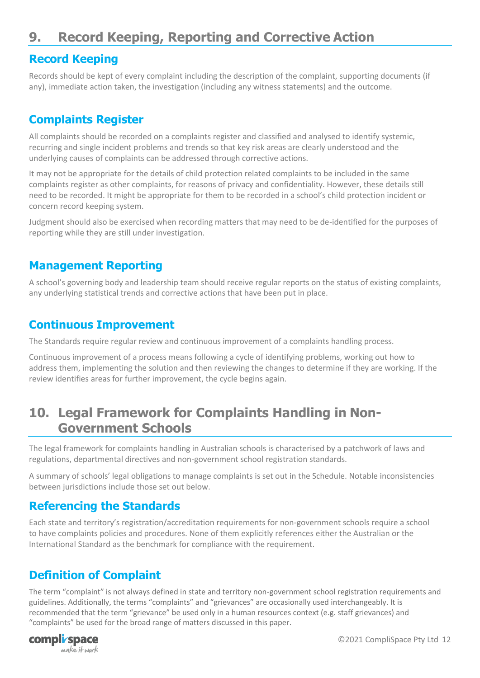# <span id="page-11-0"></span>**9. Record Keeping, Reporting and Corrective Action**

#### <span id="page-11-1"></span>**Record Keeping**

Records should be kept of every complaint including the description of the complaint, supporting documents (if any), immediate action taken, the investigation (including any witness statements) and the outcome.

#### <span id="page-11-2"></span>**Complaints Register**

All complaints should be recorded on a complaints register and classified and analysed to identify systemic, recurring and single incident problems and trends so that key risk areas are clearly understood and the underlying causes of complaints can be addressed through corrective actions.

It may not be appropriate for the details of child protection related complaints to be included in the same complaints register as other complaints, for reasons of privacy and confidentiality. However, these details still need to be recorded. It might be appropriate for them to be recorded in a school's child protection incident or concern record keeping system.

Judgment should also be exercised when recording matters that may need to be de-identified for the purposes of reporting while they are still under investigation.

#### <span id="page-11-3"></span>**Management Reporting**

A school's governing body and leadership team should receive regular reports on the status of existing complaints, any underlying statistical trends and corrective actions that have been put in place.

#### <span id="page-11-4"></span>**Continuous Improvement**

The Standards require regular review and continuous improvement of a complaints handling process.

Continuous improvement of a process means following a cycle of identifying problems, working out how to address them, implementing the solution and then reviewing the changes to determine if they are working. If the review identifies areas for further improvement, the cycle begins again.

# <span id="page-11-5"></span>**10. Legal Framework for Complaints Handling in Non-Government Schools**

The legal framework for complaints handling in Australian schools is characterised by a patchwork of laws and regulations, departmental directives and non-government school registration standards.

A summary of schools' legal obligations to manage complaints is set out in the Schedule. Notable inconsistencies between jurisdictions include those set out below.

#### <span id="page-11-6"></span>**Referencing the Standards**

Each state and territory's registration/accreditation requirements for non-government schools require a school to have complaints policies and procedures. None of them explicitly references either the Australian or the International Standard as the benchmark for compliance with the requirement.

## <span id="page-11-7"></span>**Definition of Complaint**

The term "complaint" is not always defined in state and territory non-government school registration requirements and guidelines. Additionally, the terms "complaints" and "grievances" are occasionally used interchangeably. It is recommended that the term "grievance" be used only in a human resources context (e.g. staff grievances) and "complaints" be used for the broad range of matters discussed in this paper.

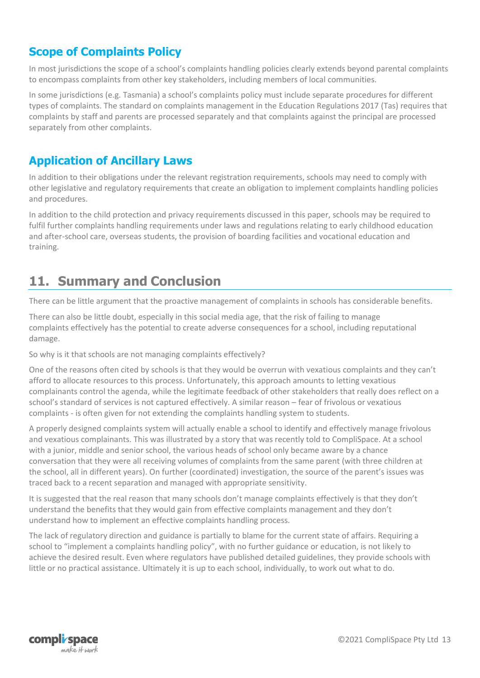#### <span id="page-12-0"></span>**Scope of Complaints Policy**

In most jurisdictions the scope of a school's complaints handling policies clearly extends beyond parental complaints to encompass complaints from other key stakeholders, including members of local communities.

In some jurisdictions (e.g. Tasmania) a school's complaints policy must include separate procedures for different types of complaints. The standard on complaints management in the Education Regulations 2017 (Tas) requires that complaints by staff and parents are processed separately and that complaints against the principal are processed separately from other complaints.

#### <span id="page-12-1"></span>**Application of Ancillary Laws**

In addition to their obligations under the relevant registration requirements, schools may need to comply with other legislative and regulatory requirements that create an obligation to implement complaints handling policies and procedures.

In addition to the child protection and privacy requirements discussed in this paper, schools may be required to fulfil further complaints handling requirements under laws and regulations relating to early childhood education and after-school care, overseas students, the provision of boarding facilities and vocational education and training.

## <span id="page-12-2"></span>**11. Summary and Conclusion**

There can be little argument that the proactive management of complaints in schools has considerable benefits.

There can also be little doubt, especially in this social media age, that the risk of failing to manage complaints effectively has the potential to create adverse consequences for a school, including reputational damage.

So why is it that schools are not managing complaints effectively?

One of the reasons often cited by schools is that they would be overrun with vexatious complaints and they can't afford to allocate resources to this process. Unfortunately, this approach amounts to letting vexatious complainants control the agenda, while the legitimate feedback of other stakeholders that really does reflect on a school's standard of services is not captured effectively. A similar reason – fear of frivolous or vexatious complaints - is often given for not extending the complaints handling system to students.

A properly designed complaints system will actually enable a school to identify and effectively manage frivolous and vexatious complainants. This was illustrated by a story that was recently told to CompliSpace. At a school with a junior, middle and senior school, the various heads of school only became aware by a chance conversation that they were all receiving volumes of complaints from the same parent (with three children at the school, all in different years). On further (coordinated) investigation, the source of the parent's issues was traced back to a recent separation and managed with appropriate sensitivity.

It is suggested that the real reason that many schools don't manage complaints effectively is that they don't understand the benefits that they would gain from effective complaints management and they don't understand how to implement an effective complaints handling process.

The lack of regulatory direction and guidance is partially to blame for the current state of affairs. Requiring a school to "implement a complaints handling policy", with no further guidance or education, is not likely to achieve the desired result. Even where regulators have published detailed guidelines, they provide schools with little or no practical assistance. Ultimately it is up to each school, individually, to work out what to do.

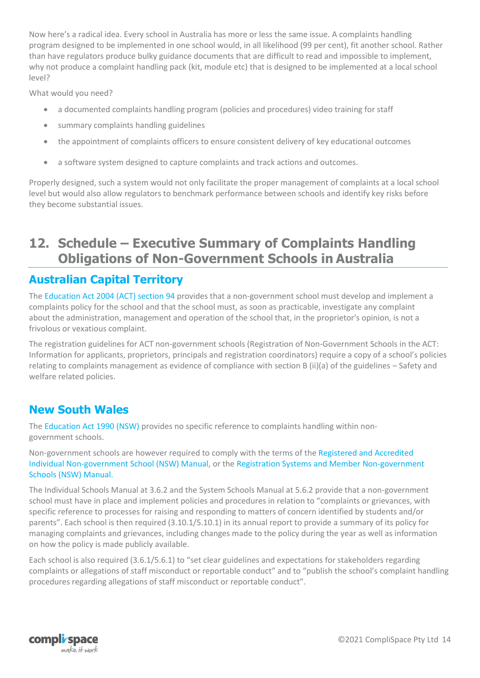Now here's a radical idea. Every school in Australia has more or less the same issue. A complaints handling program designed to be implemented in one school would, in all likelihood (99 per cent), fit another school. Rather than have regulators produce bulky guidance documents that are difficult to read and impossible to implement, why not produce a complaint handling pack (kit, module etc) that is designed to be implemented at a local school level?

What would you need?

- a documented complaints handling program (policies and procedures) video training for staff
- summary complaints handling guidelines
- the appointment of complaints officers to ensure consistent delivery of key educational outcomes
- a software system designed to capture complaints and track actions and outcomes.

Properly designed, such a system would not only facilitate the proper management of complaints at a local school level but would also allow regulators to benchmark performance between schools and identify key risks before they become substantial issues.

## <span id="page-13-0"></span>**12. Schedule – Executive Summary of Complaints Handling Obligations of Non-Government Schools in Australia**

#### <span id="page-13-1"></span>**Australian Capital Territory**

The [Education Act 2004 \(ACT\) section 94 p](http://www.austlii.edu.au/au/legis/act/consol_act/ea2004104/s94.html)rovides that a non-government school must develop and implement a complaints policy for the school and that the school must, as soon as practicable, investigate any complaint about the administration, management and operation of the school that, in the proprietor's opinion, is not a frivolous or vexatious complaint.

The registration guidelines for ACT non-government schools (Registration of Non-Government Schools in the ACT: Information for applicants, proprietors, principals and registration coordinators) require a copy of a school's policies relating to complaints management as evidence of compliance with section B (ii)(a) of the guidelines – Safety and welfare related policies.

#### <span id="page-13-2"></span>**New South Wales**

The [Education Act 1990 \(NSW\) p](http://www5.austlii.edu.au/au/legis/nsw/consol_act/ea1990104/)rovides no specific reference to complaints handling within nongovernment schools.

Non-government schools are however required to comply with the terms of the [Registered and Accredited](http://www.boardofstudies.nsw.edu.au/manuals/pdf_doc/reg-accred-individ-non-gov-manual-14.pdf)  [Individual](http://www.boardofstudies.nsw.edu.au/manuals/pdf_doc/reg-accred-individ-non-gov-manual-14.pdf) [Non-government School \(NSW\) Manual, or the Registration Systems and Member Non-government](http://www.boardofstudies.nsw.edu.au/manuals/pdf_doc/reg-accred-individ-non-gov-manual-14.pdf)  [Schools \(NSW\)](http://www.boardofstudies.nsw.edu.au/manuals/pdf_doc/reg-accred-individ-non-gov-manual-14.pdf) [Manual.](http://www.boardofstudies.nsw.edu.au/manuals/pdf_doc/reg-accred-individ-non-gov-manual-14.pdf)

The Individual Schools Manual at 3.6.2 and the System Schools Manual at 5.6.2 provide that a non-government school must have in place and implement policies and procedures in relation to "complaints or grievances, with specific reference to processes for raising and responding to matters of concern identified by students and/or parents". Each school is then required (3.10.1/5.10.1) in its annual report to provide a summary of its policy for managing complaints and grievances, including changes made to the policy during the year as well as information on how the policy is made publicly available.

Each school is also required (3.6.1/5.6.1) to "set clear guidelines and expectations for stakeholders regarding complaints or allegations of staff misconduct or reportable conduct" and to "publish the school's complaint handling procedures regarding allegations of staff misconduct or reportable conduct".

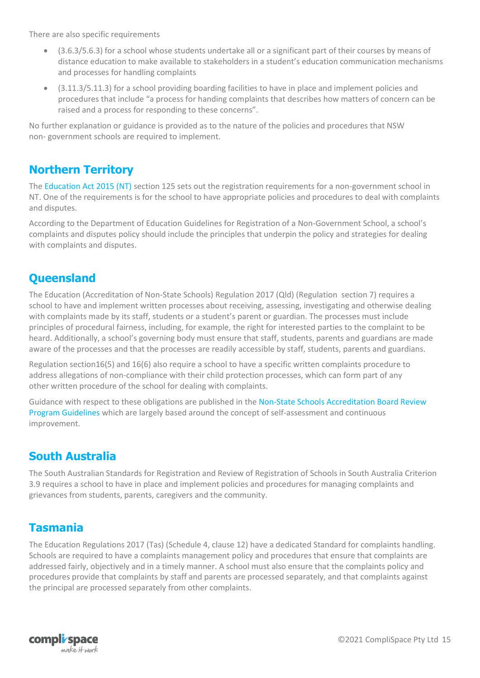There are also specific requirements

- (3.6.3/5.6.3) for a school whose students undertake all or a significant part of their courses by means of distance education to make available to stakeholders in a student's education communication mechanisms and processes for handling complaints
- (3.11.3/5.11.3) for a school providing boarding facilities to have in place and implement policies and procedures that include "a process for handing complaints that describes how matters of concern can be raised and a process for responding to these concerns".

No further explanation or guidance is provided as to the nature of the policies and procedures that NSW non- government schools are required to implement.

#### <span id="page-14-0"></span>**Northern Territory**

The [Education Act 2015 \(NT\) s](http://www.austlii.edu.au/au/legis/nt/consol_act/ea104/)ection 125 sets out the registration requirements for a non-government school in NT. One of the requirements is for the school to have appropriate policies and procedures to deal with complaints and disputes.

According to the Department of Education Guidelines for Registration of a Non-Government School, a school's complaints and disputes policy should include the principles that underpin the policy and strategies for dealing with complaints and disputes.

#### <span id="page-14-1"></span>**Queensland**

The Education (Accreditation of Non-State Schools) Regulation 2017 (Qld) (Regulation section 7) requires a school to have and implement written processes about receiving, assessing, investigating and otherwise dealing with complaints made by its staff, students or a student's parent or guardian. The processes must include principles of procedural fairness, including, for example, the right for interested parties to the complaint to be heard. Additionally, a school's governing body must ensure that staff, students, parents and guardians are made aware of the processes and that the processes are readily accessible by staff, students, parents and guardians.

Regulation section16(5) and 16(6) also require a school to have a specific written complaints procedure to address allegations of non-compliance with their child protection processes, which can form part of any other written procedure of the school for dealing with complaints.

Guidance with respect to these obligations are published in the [Non-State Schools Accreditation Board Review](http://www.nssab.qld.edu.au/Pdf/Review-guidelines-Jan18.pdf) [Program Guidelines w](http://www.nssab.qld.edu.au/Pdf/Review-guidelines-Jan18.pdf)hich are largely based around the concept of self-assessment and continuous improvement.

#### <span id="page-14-2"></span>**South Australia**

The South Australian Standards for Registration and Review of Registration of Schools in South Australia Criterion 3.9 requires a school to have in place and implement policies and procedures for managing complaints and grievances from students, parents, caregivers and the community.

#### <span id="page-14-3"></span>**Tasmania**

The Education Regulations 2017 (Tas) (Schedule 4, clause 12) have a dedicated Standard for complaints handling. Schools are required to have a complaints management policy and procedures that ensure that complaints are addressed fairly, objectively and in a timely manner. A school must also ensure that the complaints policy and procedures provide that complaints by staff and parents are processed separately, and that complaints against the principal are processed separately from other complaints.

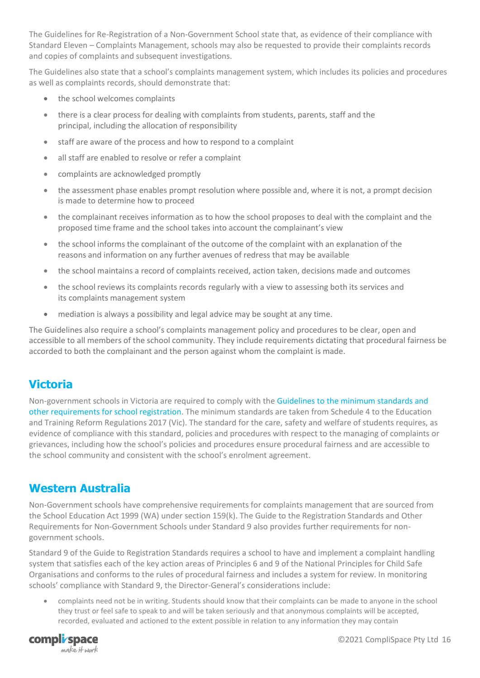The Guidelines for Re-Registration of a Non-Government School state that, as evidence of their compliance with Standard Eleven – Complaints Management, schools may also be requested to provide their complaints records and copies of complaints and subsequent investigations.

The Guidelines also state that a school's complaints management system, which includes its policies and procedures as well as complaints records, should demonstrate that:

- the school welcomes complaints
- there is a clear process for dealing with complaints from students, parents, staff and the principal, including the allocation of responsibility
- staff are aware of the process and how to respond to a complaint
- all staff are enabled to resolve or refer a complaint
- complaints are acknowledged promptly
- the assessment phase enables prompt resolution where possible and, where it is not, a prompt decision is made to determine how to proceed
- the complainant receives information as to how the school proposes to deal with the complaint and the proposed time frame and the school takes into account the complainant's view
- the school informs the complainant of the outcome of the complaint with an explanation of the reasons and information on any further avenues of redress that may be available
- the school maintains a record of complaints received, action taken, decisions made and outcomes
- the school reviews its complaints records regularly with a view to assessing both its services and its complaints management system
- mediation is always a possibility and legal advice may be sought at any time.

The Guidelines also require a school's complaints management policy and procedures to be clear, open and accessible to all members of the school community. They include requirements dictating that procedural fairness be accorded to both the complainant and the person against whom the complaint is made.

#### <span id="page-15-0"></span>**Victoria**

Non-government schools in Victoria are required to comply with th[e Guidelines to the minimum standards and](https://www.vrqa.vic.gov.au/schools/Pages/standards-guidelines-requirements-for-schools.aspx)  [other requirements for school registration.](https://www.vrqa.vic.gov.au/schools/Pages/standards-guidelines-requirements-for-schools.aspx) The minimum standards are taken from Schedule 4 to the Education and Training Reform Regulations 2017 (Vic). The standard for the care, safety and welfare of students requires, as evidence of compliance with this standard, policies and procedures with respect to the managing of complaints or grievances, including how the school's policies and procedures ensure procedural fairness and are accessible to the school community and consistent with the school's enrolment agreement.

#### <span id="page-15-1"></span>**Western Australia**

Non-Government schools have comprehensive requirements for complaints management that are sourced from the School Education Act 1999 (WA) under section 159(k). The Guide to the Registration Standards and Other Requirements for Non-Government Schools under Standard 9 also provides further requirements for nongovernment schools.

Standard 9 of the Guide to Registration Standards requires a school to have and implement a complaint handling system that satisfies each of the key action areas of Principles 6 and 9 of the National Principles for Child Safe Organisations and conforms to the rules of procedural fairness and includes a system for review. In monitoring schools' compliance with Standard 9, the Director-General's considerations include:

• complaints need not be in writing. Students should know that their complaints can be made to anyone in the school they trust or feel safe to speak to and will be taken seriously and that anonymous complaints will be accepted, recorded, evaluated and actioned to the extent possible in relation to any information they may contain

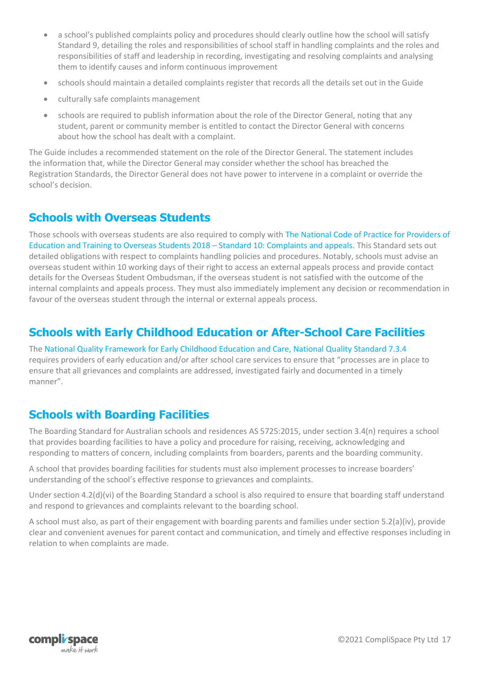- a school's published complaints policy and procedures should clearly outline how the school will satisfy Standard 9, detailing the roles and responsibilities of school staff in handling complaints and the roles and responsibilities of staff and leadership in recording, investigating and resolving complaints and analysing them to identify causes and inform continuous improvement
- schools should maintain a detailed complaints register that records all the details set out in the Guide
- culturally safe complaints management
- schools are required to publish information about the role of the Director General, noting that any student, parent or community member is entitled to contact the Director General with concerns about how the school has dealt with a complaint.

The Guide includes a recommended statement on the role of the Director General. The statement includes the information that, while the Director General may consider whether the school has breached the Registration Standards, the Director General does not have power to intervene in a complaint or override the school's decision.

#### <span id="page-16-0"></span>**Schools with Overseas Students**

Those schools with overseas students are also required to comply with [The National Code of Practice for Providers of](https://internationaleducation.gov.au/Regulatory-Information/Pages/National-Code-2018-Factsheets-.aspx)  [Education and Training to Overseas Students 2018](https://internationaleducation.gov.au/Regulatory-Information/Pages/National-Code-2018-Factsheets-.aspx) – Standard 10: Complaints and appeals. This Standard sets out detailed obligations with respect to complaints handling policies and procedures. Notably, schools must advise an overseas student within 10 working days of their right to access an external appeals process and provide contact details for the Overseas Student Ombudsman, if the overseas student is not satisfied with the outcome of the internal complaints and appeals process. They must also immediately implement any decision or recommendation in favour of the overseas student through the internal or external appeals process.

#### <span id="page-16-1"></span>**Schools with Early Childhood Education or After-School Care Facilities**

The [National Quality Framework for Early Childhood Education and Care, National Quality Standard 7.3.4](http://files.acecqa.gov.au/files/Assessment%20and%20Rating/1-NQS_Assessment%20and%20Rating%20Instrument_120522_%20FINAL-1.pdf)  requires providers of early education and/or after school care services to ensure that "processes are in place to ensure that all grievances and complaints are addressed, investigated fairly and documented in a timely manner".

#### <span id="page-16-2"></span>**Schools with Boarding Facilities**

The Boarding Standard for Australian schools and residences AS 5725:2015, under section 3.4(n) requires a school that provides boarding facilities to have a policy and procedure for raising, receiving, acknowledging and responding to matters of concern, including complaints from boarders, parents and the boarding community.

A school that provides boarding facilities for students must also implement processes to increase boarders' understanding of the school's effective response to grievances and complaints.

Under section 4.2(d)(vi) of the Boarding Standard a school is also required to ensure that boarding staff understand and respond to grievances and complaints relevant to the boarding school.

A school must also, as part of their engagement with boarding parents and families under section 5.2(a)(iv), provide clear and convenient avenues for parent contact and communication, and timely and effective responses including in relation to when complaints are made.